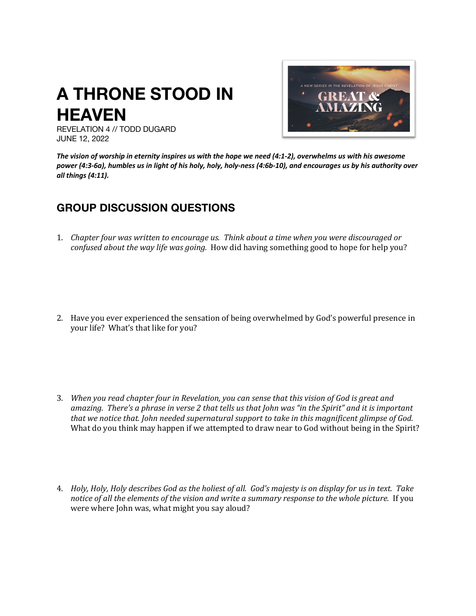## **A THRONE STOOD IN HEAVEN**



REVELATION 4 // TODD DUGARD JUNE 12, 2022

*The vision of worship in eternity inspires us with the hope we need (4:1-2), overwhelms us with his awesome power (4:3-6a), humbles us in light of his holy, holy, holy-ness (4:6b-10), and encourages us by his authority over all things (4:11).*

## **GROUP DISCUSSION QUESTIONS**

- 1. Chapter four was written to encourage us. Think about a time when you were discouraged or *confused about the way life was going.* How did having something good to hope for help you?
- 2. Have you ever experienced the sensation of being overwhelmed by God's powerful presence in your life? What's that like for you?
- 3. *When you read chapter four in Revelation, you can sense that this vision of God is great and* amazing. There's a phrase in verse 2 that tells us that *John* was "in the Spirit" and it is important *that* we notice that. *John needed supernatural support to take in this magnificent glimpse of God.* What do you think may happen if we attempted to draw near to God without being in the Spirit?
- 4. *Holy, Holy, Holy describes God as the holiest of all. God's majesty is on display for us in text. Take notice* of all the elements of the vision and write a summary response to the whole picture. If you were where John was, what might you say aloud?